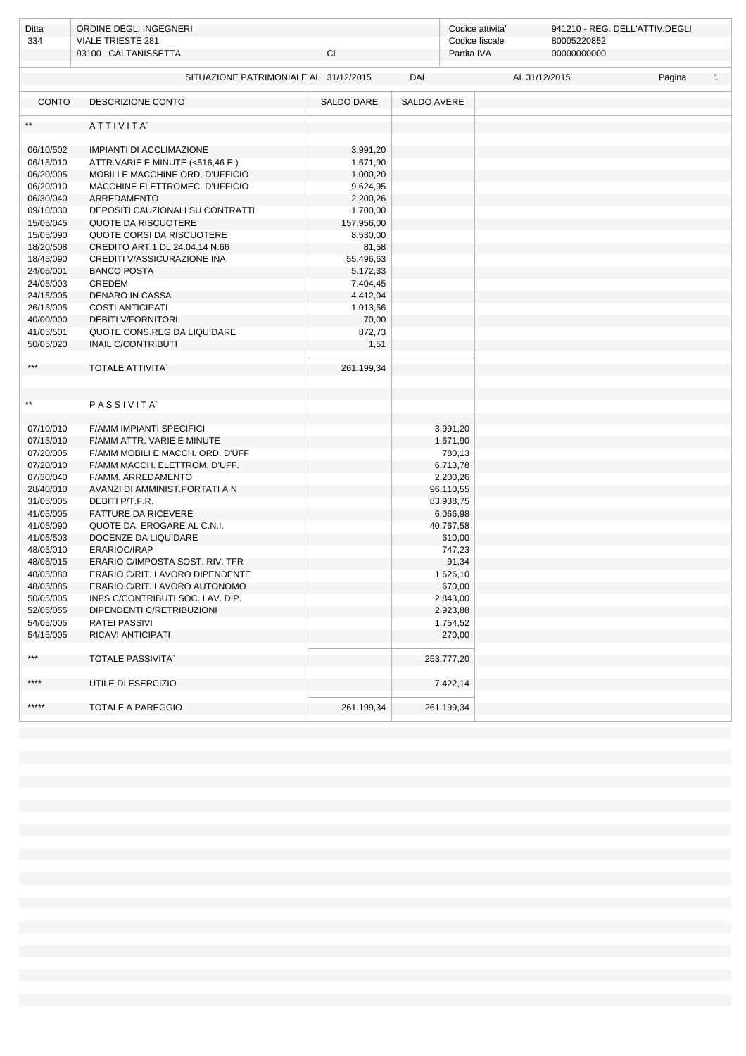| Ditta<br>334 | ORDINE DEGLI INGEGNERI<br><b>VIALE TRIESTE 281</b> |                   |             | Codice attivita'<br>Codice fiscale |               | 941210 - REG. DELL'ATTIV.DEGLI<br>80005220852 |        |              |
|--------------|----------------------------------------------------|-------------------|-------------|------------------------------------|---------------|-----------------------------------------------|--------|--------------|
|              | 93100 CALTANISSETTA                                | <b>CL</b>         |             | Partita IVA                        |               | 00000000000                                   |        |              |
|              |                                                    |                   |             |                                    |               |                                               |        |              |
|              | SITUAZIONE PATRIMONIALE AL 31/12/2015              |                   | DAL         |                                    | AL 31/12/2015 |                                               | Pagina | $\mathbf{1}$ |
| <b>CONTO</b> | DESCRIZIONE CONTO                                  | <b>SALDO DARE</b> | SALDO AVERE |                                    |               |                                               |        |              |
| $**$         | ATTIVITA                                           |                   |             |                                    |               |                                               |        |              |
| 06/10/502    | <b>IMPIANTI DI ACCLIMAZIONE</b>                    | 3.991,20          |             |                                    |               |                                               |        |              |
| 06/15/010    | ATTR.VARIE E MINUTE (<516,46 E.)                   | 1.671,90          |             |                                    |               |                                               |        |              |
| 06/20/005    | MOBILI E MACCHINE ORD. D'UFFICIO                   | 1.000,20          |             |                                    |               |                                               |        |              |
| 06/20/010    | MACCHINE ELETTROMEC. D'UFFICIO                     | 9.624,95          |             |                                    |               |                                               |        |              |
| 06/30/040    | ARREDAMENTO                                        | 2.200,26          |             |                                    |               |                                               |        |              |
| 09/10/030    | DEPOSITI CAUZIONALI SU CONTRATTI                   | 1.700,00          |             |                                    |               |                                               |        |              |
| 15/05/045    | QUOTE DA RISCUOTERE                                | 157.956,00        |             |                                    |               |                                               |        |              |
| 15/05/090    | QUOTE CORSI DA RISCUOTERE                          | 8.530,00          |             |                                    |               |                                               |        |              |
| 18/20/508    | CREDITO ART.1 DL 24.04.14 N.66                     | 81,58             |             |                                    |               |                                               |        |              |
| 18/45/090    | CREDITI V/ASSICURAZIONE INA                        | 55.496,63         |             |                                    |               |                                               |        |              |
| 24/05/001    | <b>BANCO POSTA</b>                                 | 5.172,33          |             |                                    |               |                                               |        |              |
| 24/05/003    | CREDEM                                             | 7.404,45          |             |                                    |               |                                               |        |              |
| 24/15/005    | <b>DENARO IN CASSA</b>                             | 4.412,04          |             |                                    |               |                                               |        |              |
| 26/15/005    | <b>COSTI ANTICIPATI</b>                            | 1.013,56          |             |                                    |               |                                               |        |              |
| 40/00/000    | <b>DEBITI V/FORNITORI</b>                          | 70,00             |             |                                    |               |                                               |        |              |
| 41/05/501    | QUOTE CONS.REG.DA LIQUIDARE                        | 872,73            |             |                                    |               |                                               |        |              |
| 50/05/020    | <b>INAIL C/CONTRIBUTI</b>                          | 1,51              |             |                                    |               |                                               |        |              |
|              |                                                    |                   |             |                                    |               |                                               |        |              |
| ***          | <b>TOTALE ATTIVITA`</b>                            | 261.199,34        |             |                                    |               |                                               |        |              |
|              |                                                    |                   |             |                                    |               |                                               |        |              |
|              |                                                    |                   |             |                                    |               |                                               |        |              |
| $**$         | PASSIVITA                                          |                   |             |                                    |               |                                               |        |              |
|              |                                                    |                   |             |                                    |               |                                               |        |              |
| 07/10/010    | F/AMM IMPIANTI SPECIFICI                           |                   |             | 3.991,20                           |               |                                               |        |              |
| 07/15/010    | F/AMM ATTR. VARIE E MINUTE                         |                   |             | 1.671,90                           |               |                                               |        |              |
| 07/20/005    | F/AMM MOBILI E MACCH. ORD. D'UFF                   |                   |             | 780,13                             |               |                                               |        |              |
| 07/20/010    | F/AMM MACCH. ELETTROM. D'UFF.                      |                   |             | 6.713,78                           |               |                                               |        |              |
| 07/30/040    | F/AMM. ARREDAMENTO                                 |                   |             | 2.200,26                           |               |                                               |        |              |
| 28/40/010    | AVANZI DI AMMINIST.PORTATI A N                     |                   |             | 96.110,55                          |               |                                               |        |              |
| 31/05/005    | DEBITI P/T.F.R.                                    |                   |             | 83.938,75                          |               |                                               |        |              |
| 41/05/005    | <b>FATTURE DA RICEVERE</b>                         |                   |             | 6.066,98                           |               |                                               |        |              |
| 41/05/090    | QUOTE DA EROGARE AL C.N.I.                         |                   |             | 40.767,58                          |               |                                               |        |              |
| 41/05/503    | DOCENZE DA LIQUIDARE                               |                   |             | 610,00                             |               |                                               |        |              |
| 48/05/010    | ERARIOC/IRAP                                       |                   |             | 747,23                             |               |                                               |        |              |
| 48/05/015    | ERARIO C/IMPOSTA SOST. RIV. TFR                    |                   |             | 91,34                              |               |                                               |        |              |
| 48/05/080    | ERARIO C/RIT. LAVORO DIPENDENTE                    |                   |             | 1.626,10                           |               |                                               |        |              |
| 48/05/085    | ERARIO C/RIT. LAVORO AUTONOMO                      |                   |             | 670,00                             |               |                                               |        |              |
| 50/05/005    | INPS C/CONTRIBUTI SOC. LAV. DIP.                   |                   |             | 2.843,00                           |               |                                               |        |              |
| 52/05/055    | DIPENDENTI C/RETRIBUZIONI                          |                   |             | 2.923,88                           |               |                                               |        |              |
| 54/05/005    | RATEI PASSIVI                                      |                   |             | 1.754,52                           |               |                                               |        |              |
| 54/15/005    | RICAVI ANTICIPATI                                  |                   |             | 270,00                             |               |                                               |        |              |
|              |                                                    |                   |             |                                    |               |                                               |        |              |
| ***          | <b>TOTALE PASSIVITA</b>                            |                   |             | 253.777,20                         |               |                                               |        |              |
|              |                                                    |                   |             |                                    |               |                                               |        |              |
| ****         | UTILE DI ESERCIZIO                                 |                   |             | 7.422,14                           |               |                                               |        |              |
| *****        |                                                    |                   |             |                                    |               |                                               |        |              |
|              | <b>TOTALE A PAREGGIO</b>                           | 261.199,34        |             | 261.199,34                         |               |                                               |        |              |
|              |                                                    |                   |             |                                    |               |                                               |        |              |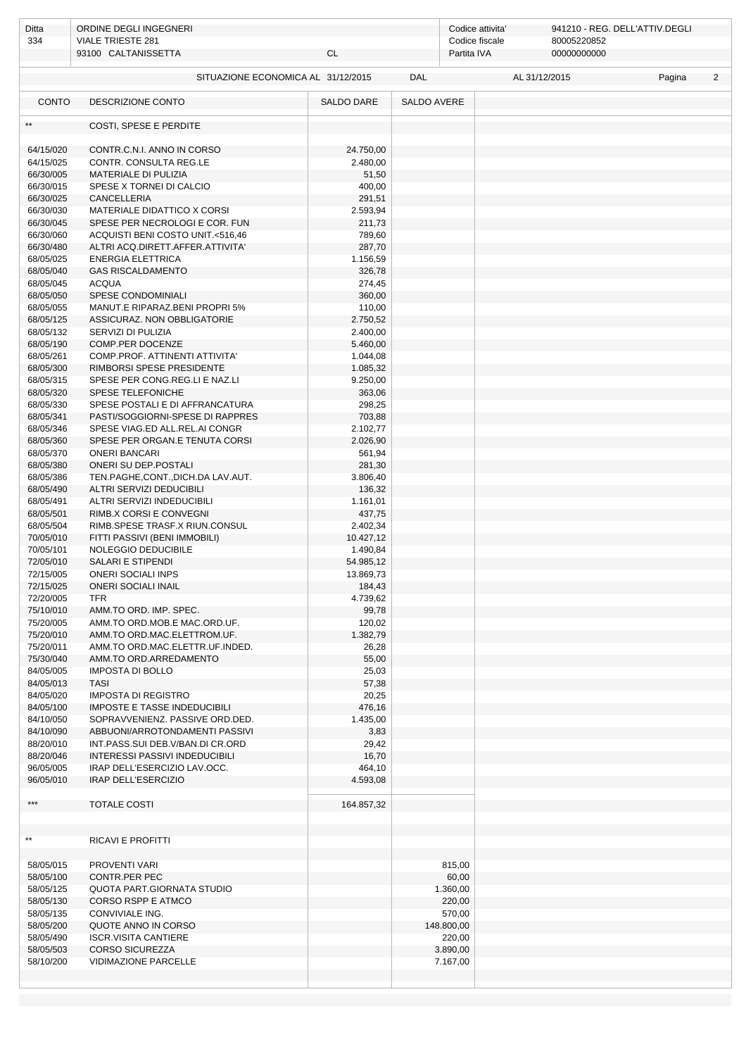| Ditta                  | ORDINE DEGLI INGEGNERI                                                    |                       |                    | Codice attivita'<br>941210 - REG. DELL'ATTIV.DEGLI |               |        |                |  |  |
|------------------------|---------------------------------------------------------------------------|-----------------------|--------------------|----------------------------------------------------|---------------|--------|----------------|--|--|
| 334                    | <b>VIALE TRIESTE 281</b>                                                  |                       |                    | Codice fiscale                                     |               |        |                |  |  |
|                        | 93100 CALTANISSETTA                                                       | <b>CL</b>             |                    | Partita IVA                                        | 00000000000   |        |                |  |  |
|                        | SITUAZIONE ECONOMICA AL 31/12/2015                                        |                       | <b>DAL</b>         |                                                    | AL 31/12/2015 | Pagina | $\overline{2}$ |  |  |
| <b>CONTO</b>           | DESCRIZIONE CONTO                                                         | <b>SALDO DARE</b>     | <b>SALDO AVERE</b> |                                                    |               |        |                |  |  |
|                        | COSTI, SPESE E PERDITE                                                    |                       |                    |                                                    |               |        |                |  |  |
| 64/15/020              | CONTR.C.N.I. ANNO IN CORSO                                                | 24.750,00             |                    |                                                    |               |        |                |  |  |
| 64/15/025              | CONTR. CONSULTA REG.LE                                                    | 2.480,00              |                    |                                                    |               |        |                |  |  |
| 66/30/005              | <b>MATERIALE DI PULIZIA</b>                                               | 51,50                 |                    |                                                    |               |        |                |  |  |
| 66/30/015              | SPESE X TORNEI DI CALCIO                                                  | 400,00                |                    |                                                    |               |        |                |  |  |
| 66/30/025              | CANCELLERIA                                                               | 291,51                |                    |                                                    |               |        |                |  |  |
| 66/30/030              | MATERIALE DIDATTICO X CORSI                                               | 2.593,94              |                    |                                                    |               |        |                |  |  |
| 66/30/045<br>66/30/060 | SPESE PER NECROLOGI E COR. FUN<br>ACQUISTI BENI COSTO UNIT.<516,46        | 211,73<br>789,60      |                    |                                                    |               |        |                |  |  |
| 66/30/480              | ALTRI ACQ.DIRETT.AFFER.ATTIVITA'                                          | 287,70                |                    |                                                    |               |        |                |  |  |
| 68/05/025              | <b>ENERGIA ELETTRICA</b>                                                  | 1.156,59              |                    |                                                    |               |        |                |  |  |
| 68/05/040              | <b>GAS RISCALDAMENTO</b>                                                  | 326,78                |                    |                                                    |               |        |                |  |  |
| 68/05/045              | <b>ACQUA</b>                                                              | 274,45                |                    |                                                    |               |        |                |  |  |
| 68/05/050              | SPESE CONDOMINIALI                                                        | 360,00                |                    |                                                    |               |        |                |  |  |
| 68/05/055              | MANUT.E RIPARAZ.BENI PROPRI 5%                                            | 110,00                |                    |                                                    |               |        |                |  |  |
| 68/05/125              | ASSICURAZ. NON OBBLIGATORIE                                               | 2.750,52              |                    |                                                    |               |        |                |  |  |
| 68/05/132<br>68/05/190 | SERVIZI DI PULIZIA<br>COMP.PER DOCENZE                                    | 2.400,00<br>5.460,00  |                    |                                                    |               |        |                |  |  |
| 68/05/261              | COMP.PROF. ATTINENTI ATTIVITA'                                            | 1.044,08              |                    |                                                    |               |        |                |  |  |
| 68/05/300              | RIMBORSI SPESE PRESIDENTE                                                 | 1.085,32              |                    |                                                    |               |        |                |  |  |
| 68/05/315              | SPESE PER CONG.REG.LI E NAZ.LI                                            | 9.250,00              |                    |                                                    |               |        |                |  |  |
| 68/05/320              | SPESE TELEFONICHE                                                         | 363,06                |                    |                                                    |               |        |                |  |  |
| 68/05/330              | SPESE POSTALI E DI AFFRANCATURA                                           | 298,25                |                    |                                                    |               |        |                |  |  |
| 68/05/341              | PASTI/SOGGIORNI-SPESE DI RAPPRES                                          | 703,88                |                    |                                                    |               |        |                |  |  |
| 68/05/346              | SPESE VIAG.ED ALL.REL.AI CONGR                                            | 2.102,77              |                    |                                                    |               |        |                |  |  |
| 68/05/360<br>68/05/370 | SPESE PER ORGAN.E TENUTA CORSI<br><b>ONERI BANCARI</b>                    | 2.026,90<br>561,94    |                    |                                                    |               |        |                |  |  |
| 68/05/380              | ONERI SU DEP.POSTALI                                                      | 281,30                |                    |                                                    |               |        |                |  |  |
| 68/05/386              | TEN.PAGHE,CONT.,DICH.DA LAV.AUT.                                          | 3.806,40              |                    |                                                    |               |        |                |  |  |
| 68/05/490              | ALTRI SERVIZI DEDUCIBILI                                                  | 136,32                |                    |                                                    |               |        |                |  |  |
| 68/05/491              | ALTRI SERVIZI INDEDUCIBILI                                                | 1.161,01              |                    |                                                    |               |        |                |  |  |
| 68/05/501              | RIMB.X CORSI E CONVEGNI                                                   | 437,75                |                    |                                                    |               |        |                |  |  |
| 68/05/504              | RIMB.SPESE TRASF.X RIUN.CONSUL                                            | 2.402,34              |                    |                                                    |               |        |                |  |  |
| 70/05/010              | FITTI PASSIVI (BENI IMMOBILI)                                             | 10.427,12             |                    |                                                    |               |        |                |  |  |
| 70/05/101<br>72/05/010 | NOLEGGIO DEDUCIBILE<br>SALARI E STIPENDI                                  | 1.490,84<br>54.985,12 |                    |                                                    |               |        |                |  |  |
| 72/15/005              | <b>ONERI SOCIALI INPS</b>                                                 | 13.869,73             |                    |                                                    |               |        |                |  |  |
| 72/15/025              | <b>ONERI SOCIALI INAIL</b>                                                | 184,43                |                    |                                                    |               |        |                |  |  |
| 72/20/005              | <b>TFR</b>                                                                | 4.739,62              |                    |                                                    |               |        |                |  |  |
| 75/10/010              | AMM.TO ORD. IMP. SPEC.                                                    | 99,78                 |                    |                                                    |               |        |                |  |  |
| 75/20/005              | AMM.TO ORD.MOB.E MAC.ORD.UF.                                              | 120,02                |                    |                                                    |               |        |                |  |  |
| 75/20/010              | AMM.TO ORD.MAC.ELETTROM.UF.                                               | 1.382,79              |                    |                                                    |               |        |                |  |  |
| 75/20/011<br>75/30/040 | AMM.TO ORD.MAC.ELETTR.UF.INDED.<br>AMM.TO ORD.ARREDAMENTO                 | 26,28<br>55,00        |                    |                                                    |               |        |                |  |  |
| 84/05/005              | <b>IMPOSTA DI BOLLO</b>                                                   | 25,03                 |                    |                                                    |               |        |                |  |  |
| 84/05/013              | <b>TASI</b>                                                               | 57,38                 |                    |                                                    |               |        |                |  |  |
| 84/05/020              | <b>IMPOSTA DI REGISTRO</b>                                                | 20,25                 |                    |                                                    |               |        |                |  |  |
| 84/05/100              | <b>IMPOSTE E TASSE INDEDUCIBILI</b>                                       | 476,16                |                    |                                                    |               |        |                |  |  |
| 84/10/050              | SOPRAVVENIENZ. PASSIVE ORD.DED.                                           | 1.435,00              |                    |                                                    |               |        |                |  |  |
| 84/10/090              | ABBUONI/ARROTONDAMENTI PASSIVI                                            | 3,83                  |                    |                                                    |               |        |                |  |  |
| 88/20/010<br>88/20/046 | INT.PASS.SUI DEB.V/BAN.DI CR.ORD<br><b>INTERESSI PASSIVI INDEDUCIBILI</b> | 29,42<br>16,70        |                    |                                                    |               |        |                |  |  |
| 96/05/005              | IRAP DELL'ESERCIZIO LAV.OCC.                                              | 464,10                |                    |                                                    |               |        |                |  |  |
| 96/05/010              | IRAP DELL'ESERCIZIO                                                       | 4.593,08              |                    |                                                    |               |        |                |  |  |
|                        |                                                                           |                       |                    |                                                    |               |        |                |  |  |
| ***                    | <b>TOTALE COSTI</b>                                                       | 164.857,32            |                    |                                                    |               |        |                |  |  |
|                        |                                                                           |                       |                    |                                                    |               |        |                |  |  |
| $\star\star$           |                                                                           |                       |                    |                                                    |               |        |                |  |  |
|                        | <b>RICAVI E PROFITTI</b>                                                  |                       |                    |                                                    |               |        |                |  |  |
| 58/05/015              | PROVENTI VARI                                                             |                       |                    | 815,00                                             |               |        |                |  |  |
| 58/05/100              | <b>CONTR.PER PEC</b>                                                      |                       |                    | 60,00                                              |               |        |                |  |  |
| 58/05/125              | <b>QUOTA PART.GIORNATA STUDIO</b>                                         |                       |                    | 1.360,00                                           |               |        |                |  |  |
| 58/05/130              | <b>CORSO RSPP E ATMCO</b>                                                 |                       |                    | 220,00                                             |               |        |                |  |  |
| 58/05/135              | CONVIVIALE ING.                                                           |                       |                    | 570,00                                             |               |        |                |  |  |
| 58/05/200              | QUOTE ANNO IN CORSO                                                       |                       | 148.800,00         |                                                    |               |        |                |  |  |
| 58/05/490<br>58/05/503 | <b>ISCR.VISITA CANTIERE</b><br><b>CORSO SICUREZZA</b>                     |                       |                    | 220,00<br>3.890,00                                 |               |        |                |  |  |
| 58/10/200              | <b>VIDIMAZIONE PARCELLE</b>                                               |                       |                    | 7.167,00                                           |               |        |                |  |  |
|                        |                                                                           |                       |                    |                                                    |               |        |                |  |  |
|                        |                                                                           |                       |                    |                                                    |               |        |                |  |  |